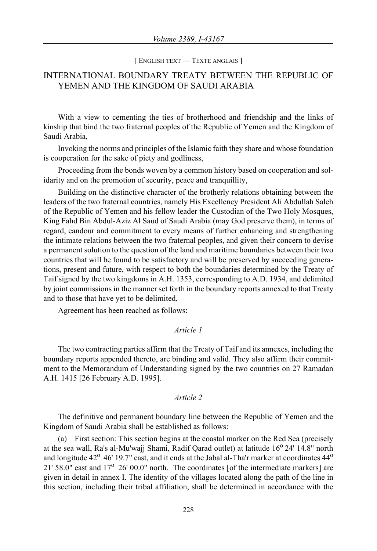#### [ ENGLISH TEXT — TEXTE ANGLAIS ]

# INTERNATIONAL BOUNDARY TREATY BETWEEN THE REPUBLIC OF YEMEN AND THE KINGDOM OF SAUDI ARABIA

With a view to cementing the ties of brotherhood and friendship and the links of kinship that bind the two fraternal peoples of the Republic of Yemen and the Kingdom of Saudi Arabia,

Invoking the norms and principles of the Islamic faith they share and whose foundation is cooperation for the sake of piety and godliness,

Proceeding from the bonds woven by a common history based on cooperation and solidarity and on the promotion of security, peace and tranquillity,

Building on the distinctive character of the brotherly relations obtaining between the leaders of the two fraternal countries, namely His Excellency President Ali Abdullah Saleh of the Republic of Yemen and his fellow leader the Custodian of the Two Holy Mosques, King Fahd Bin Abdul-Aziz Al Saud of Saudi Arabia (may God preserve them), in terms of regard, candour and commitment to every means of further enhancing and strengthening the intimate relations between the two fraternal peoples, and given their concern to devise a permanent solution to the question of the land and maritime boundaries between their two countries that will be found to be satisfactory and will be preserved by succeeding generations, present and future, with respect to both the boundaries determined by the Treaty of Taif signed by the two kingdoms in A.H. 1353, corresponding to A.D. 1934, and delimited by joint commissions in the manner set forth in the boundary reports annexed to that Treaty and to those that have yet to be delimited,

Agreement has been reached as follows:

## *Article 1*

The two contracting parties affirm that the Treaty of Taif and its annexes, including the boundary reports appended thereto, are binding and valid. They also affirm their commitment to the Memorandum of Understanding signed by the two countries on 27 Ramadan A.H. 1415 [26 February A.D. 1995].

## *Article 2*

The definitive and permanent boundary line between the Republic of Yemen and the Kingdom of Saudi Arabia shall be established as follows:

(a) First section: This section begins at the coastal marker on the Red Sea (precisely at the sea wall, Ra's al-Mu'wajj Shami, Radif Oarad outlet) at latitude  $16^{\circ}$  24'  $14.8"$  north and longitude  $42^{\circ}$  46' 19.7" east, and it ends at the Jabal al-Tha'r marker at coordinates  $44^{\circ}$ 21' 58.0" east and  $17^{\circ}$  26' 00.0" north. The coordinates [of the intermediate markers] are given in detail in annex I. The identity of the villages located along the path of the line in this section, including their tribal affiliation, shall be determined in accordance with the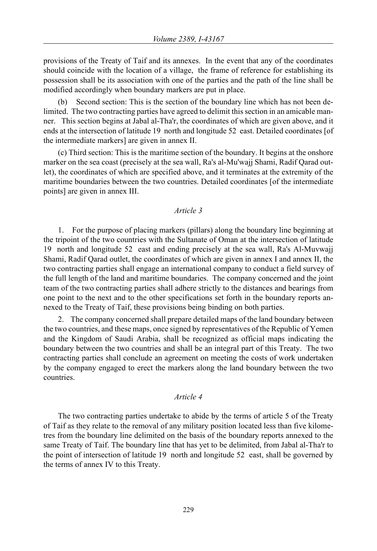provisions of the Treaty of Taif and its annexes. In the event that any of the coordinates should coincide with the location of a village, the frame of reference for establishing its possession shall be its association with one of the parties and the path of the line shall be modified accordingly when boundary markers are put in place.

(b) Second section: This is the section of the boundary line which has not been delimited. The two contracting parties have agreed to delimit this section in an amicable manner. This section begins at Jabal al-Tha'r, the coordinates of which are given above, and it ends at the intersection of latitude 19 north and longitude 52 east. Detailed coordinates [of the intermediate markers] are given in annex II.

(c) Third section: This is the maritime section of the boundary. It begins at the onshore marker on the sea coast (precisely at the sea wall, Ra's al-Mu'wajj Shami, Radif Qarad outlet), the coordinates of which are specified above, and it terminates at the extremity of the maritime boundaries between the two countries. Detailed coordinates [of the intermediate points] are given in annex III.

## *Article 3*

1. For the purpose of placing markers (pillars) along the boundary line beginning at the tripoint of the two countries with the Sultanate of Oman at the intersection of latitude 19 north and longitude 52 east and ending precisely at the sea wall, Ra's Al-Muvwajj Shami, Radif Qarad outlet, the coordinates of which are given in annex I and annex II, the two contracting parties shall engage an international company to conduct a field survey of the full length of the land and maritime boundaries. The company concerned and the joint team of the two contracting parties shall adhere strictly to the distances and bearings from one point to the next and to the other specifications set forth in the boundary reports annexed to the Treaty of Taif, these provisions being binding on both parties.

2. The company concerned shall prepare detailed maps of the land boundary between the two countries, and these maps, once signed by representatives of the Republic of Yemen and the Kingdom of Saudi Arabia, shall be recognized as official maps indicating the boundary between the two countries and shall be an integral part of this Treaty. The two contracting parties shall conclude an agreement on meeting the costs of work undertaken by the company engaged to erect the markers along the land boundary between the two countries.

## *Article 4*

The two contracting parties undertake to abide by the terms of article 5 of the Treaty of Taif as they relate to the removal of any military position located less than five kilometres from the boundary line delimited on the basis of the boundary reports annexed to the same Treaty of Taif. The boundary line that has yet to be delimited, from Jabal al-Tha'r to the point of intersection of latitude 19 north and longitude 52 east, shall be governed by the terms of annex IV to this Treaty.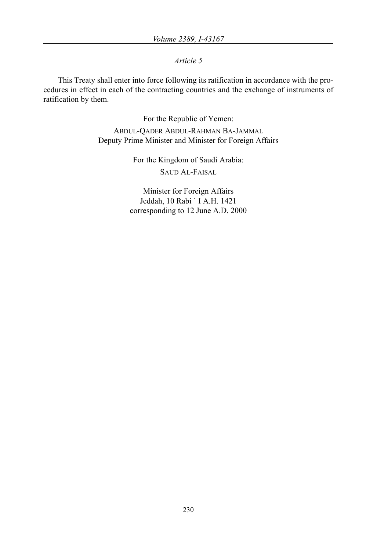*Article 5*

This Treaty shall enter into force following its ratification in accordance with the procedures in effect in each of the contracting countries and the exchange of instruments of ratification by them.

> For the Republic of Yemen: ABDUL-QADER ABDUL-RAHMAN BA-JAMMAL Deputy Prime Minister and Minister for Foreign Affairs

> > For the Kingdom of Saudi Arabia: SAUD AL-FAISAL

Minister for Foreign Affairs Jeddah, 10 Rabi ` I A.H. 1421 corresponding to 12 June A.D. 2000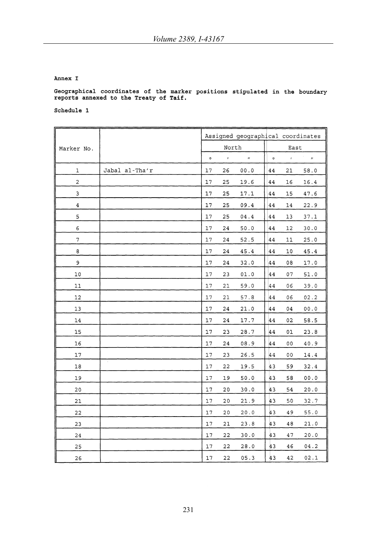#### Annex I

# Geographical coordinates of the marker positions stipulated in the boundary reports annexed to the Treaty of Taif.

|                |                |         |                    | Assigned geographical coordinates |         |                |                              |
|----------------|----------------|---------|--------------------|-----------------------------------|---------|----------------|------------------------------|
| Marker No.     |                |         | North              |                                   |         | East           |                              |
|                |                | $\circ$ | $\pmb{\mathsf{r}}$ | $\boldsymbol{H}$                  | $\circ$ | $\bar{t}$      | $\sim$<br>$\boldsymbol{\mu}$ |
| 1              | Jabal al-Tha'r | 17      | 26                 | 00.0                              | 44      | 21             | 58.0                         |
| $\overline{c}$ |                | 17      | 25                 | 19.6                              | 44      | 16             | 16.4                         |
| 3              |                | 17      | 25                 | 17.1                              | 44      | 15             | 47.6                         |
| 4              |                | 17      | 25                 | 09.4                              | 44      | 14             | 22.9                         |
| 5              |                | 17      | 25                 | ${\bf 04.4}$                      | 44      | 13             | 37.1                         |
| 6              |                | 17      | 24                 | 50.0                              | 44      | 12             | 30.0                         |
| $\sqrt{ }$     |                | 17      | 24                 | 52.5                              | 44      | 11             | 25.0                         |
| 8              |                | 17      | 24                 | 45.4                              | 44      | 10             | 45.4                         |
| 9              |                | 17      | 24                 | 32.0                              | 44      | 08             | 17.0                         |
| 10             |                | 17      | 23                 | 01.0                              | 44      | 07             | 51.0                         |
| 11             |                | 17      | 21                 | 59.0                              | 44      | 06             | 39.0                         |
| 12             |                | 17      | 21                 | 57.8                              | 44      | 06             | 02.2                         |
| 13             |                | 17      | 24                 | 21.0                              | 44      | 04             | 00.0                         |
| 14             |                | $17\,$  | 24                 | 17.7                              | 44      | 02             | 58.5                         |
| 15             |                | 17      | 23                 | 28.7                              | 44      | 01             | 23.8                         |
| 16             |                | $17$    | 24                 | 08.9                              | 44      | 0 <sub>0</sub> | 40.9                         |
| 17             |                | $17\,$  | 23                 | 26.5                              | 44      | 00             | 14.4                         |
| $18\,$         | ÷.             | 17      | 22                 | 19.5                              | 43      | 59             | 32.4                         |
| 19             |                | 17      | 19                 | 50.0                              | 43      | 58             | 00.0                         |
| 20             |                | $17$    | 20                 | 30.0                              | 43      | 54             | 20.0                         |
| 21             |                | 17      | $20$               | 21.9                              | 43      | 50             | 32.7                         |
| 22             |                | $17\,$  | 20                 | 20.0                              | 43      | 49             | 55.0                         |
| 23             |                | 17      | 21                 | 23.8                              | 43      | 48             | 21.0                         |
| 24             |                | $17\,$  | 22                 | 30.0                              | 43      | 47             | 20.0                         |
| 25             |                | 17      | 22                 | 28.0                              | 43      | 46             | 04.2                         |
| 26             |                | 17      | 22                 | 05.3                              | 43      | 42             | 02.1                         |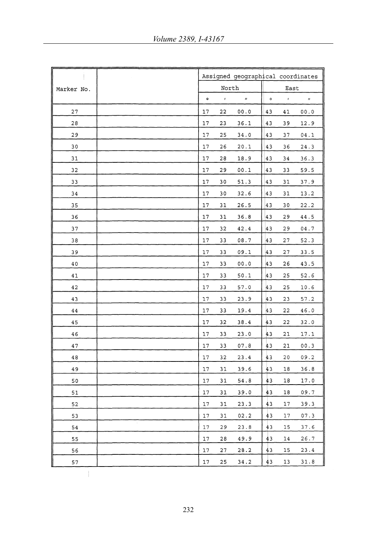|            |           |           | Assigned geographical coordinates |         |                 |                  |
|------------|-----------|-----------|-----------------------------------|---------|-----------------|------------------|
| Marker No. |           | North     |                                   |         | East            |                  |
|            | $\bullet$ | $\pmb{t}$ | $\boldsymbol{\mu}$                | $\circ$ | $\mathcal{A}$ . | $\boldsymbol{H}$ |
| 27         | 17        | 22        | 00.0                              | 43      | 41              | 00.0             |
| 28         | 17        | 23        | 36.1                              | 43      | 39              | 12.9             |
| 29         | 17        | 25        | 34.0                              | 43      | 37              | 04.1             |
| 30         | 17        | 26        | 20.1                              | 43      | 36              | 24.3             |
| 31         | 17        | 28        | 18.9                              | 43      | 34              | 36.3             |
| 32         | 17        | 29        | 00.1                              | 43      | 33              | 59.5             |
| 33         | 17        | 30        | 51.3                              | 43      | 31              | 37.9             |
| 34         | 17        | 30        | 32.6                              | 43      | 31              | 13.2             |
| 35         | 17        | 31        | 26.5                              | 43      | 30              | 22.2             |
| 36         | 17        | 31        | 36.8                              | 43      | 29              | 44.5             |
| 37         | 17        | 32        | 42.4                              | 43      | 29              | 04.7             |
| 38         | 17        | 33        | 08.7                              | 43      | 27              | 52.3             |
| 39         | 17        | 33        | 09.1                              | 43      | 27              | 33.5             |
| 40         | 17        | 33        | 00.0                              | 43      | 26              | 43.5             |
| 41         | 17        | 33        | 50.1                              | 43      | 25              | 52.6             |
| 42         | 17        | 33        | 57.0                              | 43      | 25              | 10.6             |
| 43         | 17        | 33        | 23.9                              | 43      | 23              | 57.2             |
| $4\,4$     | 17        | 33        | 19.4                              | 43      | 22              | 46.0             |
| 45         | 17        | 32        | 38.4                              | 43      | 22              | 32.0             |
| 46         | 17        | 33        | 23.0                              | 43      | 21              | 17.1             |
| 47         | 17        | 33        | 07.8                              | 43      | 21              | 00.3             |
| 48         | 17        | 32        | 23.4                              | 43      | 20              | 09.2             |
| 49         | 17        | 31        | 39.6                              | 43      | 18              | 36.8             |
| 50         | 17        | 31        | 54.8                              | 43      | 18              | 17.0             |
| 51         | 17        | 31        | 39.0                              | 43      | 18              | 09.7             |
| 52         | 17        | 31        | 23.3                              | 43      | 17              | 39.3             |
| 53         | 17        | 31        | 02.2                              | 43      | 17              | 07.3             |
| 54         | 17        | 29        | 23.8                              | 43      | 15              | 37.6             |
| 55         | 17        | 28        | 49.9                              | 43      | 14              | 26.7             |
| 56         | 17        | 27        | 28.2                              | 43      | 15              | 23.4             |
| 57         | 17        | 25        | 34.2                              | 43      | 13              | 31.8             |

 $\bar{1}$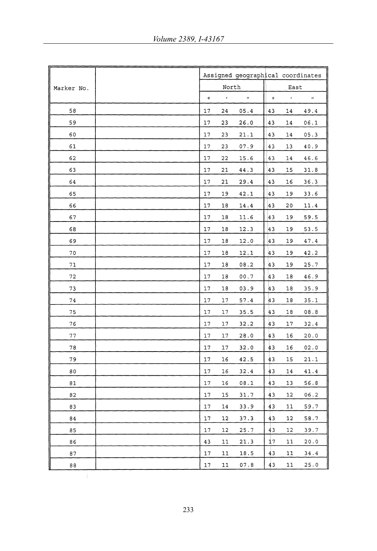|            |           |              |                  |           | Assigned geographical coordinates |                  |  |  |
|------------|-----------|--------------|------------------|-----------|-----------------------------------|------------------|--|--|
| Marker No. |           | North        |                  |           | East                              |                  |  |  |
|            | $\bullet$ | $\mathbf{r}$ | $\boldsymbol{H}$ | $\bullet$ | $\boldsymbol{r}$                  | $\boldsymbol{H}$ |  |  |
| 58         | 17        | 24           | 05.4             | 43        | 14                                | 49.4             |  |  |
| 59         | 17        | 23           | 26.0             | 43        | 14                                | 06.1             |  |  |
| 60         | $17\,$    | 23           | 21.1             | 43        | 14                                | 05.3             |  |  |
| 61         | 17        | 23           | 07.9             | 43        | 13                                | 40.9             |  |  |
| 62         | 17        | 22           | 15.6             | 43        | 14                                | 46.6             |  |  |
| 63         | 17        | 21           | 44.3             | 43        | 15                                | 31.8             |  |  |
| 64         | 17        | 21           | 29.4             | 43        | 16                                | 36.3             |  |  |
| 65         | 17        | 19           | 42.1             | 43        | 19                                | 33.6             |  |  |
| 66         | 17        | 18           | 14.4             | 43        | 20                                | 11.4             |  |  |
| 67         | 17        | 18           | 11.6             | 43        | 19                                | 59.5             |  |  |
| 68         | 17        | 18           | 12.3             | 43        | 19                                | 53.5             |  |  |
| 69         | 17        | 18           | 12.0             | 43        | 19                                | 47.4             |  |  |
| 70         | 17        | 18           | 12.1             | 43        | 19                                | 42.2             |  |  |
| 71         | 17        | 18           | 08.2             | 43        | 19                                | 25.7             |  |  |
| 72         | 17        | 18           | 00.7             | 43        | 18                                | 46.9             |  |  |
| 73         | 17        | 18           | 03.9             | 43        | 18                                | 35.9             |  |  |
| 74         | 17        | 17           | 57.4             | 43        | 18                                | 35.1             |  |  |
| 75         | 17        | 17           | 35.5             | 43        | 18                                | 08.8             |  |  |
| 76         | 17        | 17           | 32.2             | 43        | 17                                | 32.4             |  |  |
| 77         | 17        | 17           | 28.0             | 43        | 16                                | 20.0             |  |  |
| 78         | 17        | 17           | 32.0             | 43        | 16                                | 02.0             |  |  |
| 79         | 17        | 16           | 42.5             | 43        | 15                                | 21.1             |  |  |
| 80         | 17        | 16           | 32.4             | 43        | 14                                | 41.4             |  |  |
| 81         | 17        | 16           | 08.1             | 43        | 13                                | 56.8             |  |  |
| 82         | 17        | 15           | 31.7             | 43        | 12                                | 06.2             |  |  |
| 83         | 17        | 14           | 33.9             | 43        | 11                                | 59.7             |  |  |
| 84         | 17        | 12           | 37.3             | 43        | 12                                | 58.7             |  |  |
| 85         | 17        | 12           | 25.7             | 43        | 12                                | 39.7             |  |  |
| 86         | 43        | 11           | 21.3             | 17        | 11                                | 20.0             |  |  |
| 87         | 17        | 11           | 18.5             | 43        | 11                                | 34.4             |  |  |
| 88         | $17\,$    | 11           | 07.8             | 43        | 11                                | 25.0             |  |  |
|            |           |              |                  |           |                                   |                  |  |  |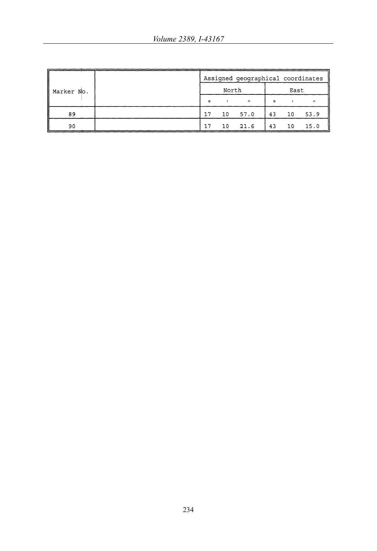|            | Assigned geographical coordinates |       |              |         |      |      |  |  |
|------------|-----------------------------------|-------|--------------|---------|------|------|--|--|
| Marker No. |                                   | North |              |         | East |      |  |  |
|            | $\Omega$                          |       | $\mathbf{H}$ | $\circ$ |      |      |  |  |
| 89         | 17                                | 10    | 57.0         | 43      | 10   | 53.9 |  |  |
| 90         | 17                                | 10    | 21.6         | 43      | 10   | 15.0 |  |  |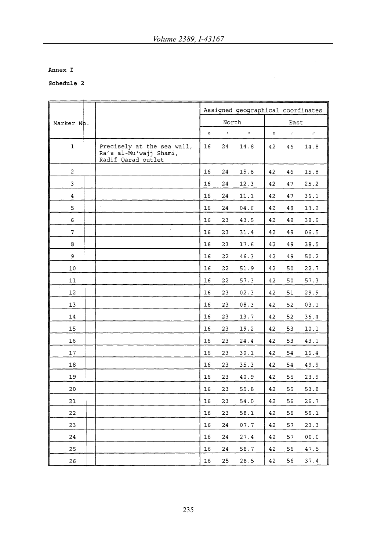$\hat{\boldsymbol{\psi}}$ 

## Annex I

|                         |                                                                            |         |               | Assigned geographical coordinates |         |           |                    |
|-------------------------|----------------------------------------------------------------------------|---------|---------------|-----------------------------------|---------|-----------|--------------------|
| Marker No.              |                                                                            |         | North         |                                   |         | East      |                    |
|                         |                                                                            | $\circ$ | $\mathcal{I}$ | $\boldsymbol{H}$                  | $\circ$ | $\bar{t}$ | $\boldsymbol{\Pi}$ |
| 1                       | Precisely at the sea wall,<br>Ra's al-Mu'wajj Shami,<br>Radif Qarad outlet | 16      | 24            | 14.8                              | 42      | 46        | 14.8               |
| 2                       |                                                                            | 16      | 24            | 15.8                              | 42      | 46        | 15.8               |
| 3                       |                                                                            | 16      | 24            | 12.3                              | 42      | 47        | 25.2               |
| $\overline{\mathbf{4}}$ |                                                                            | 16      | 24            | 11.1                              | 42      | 47        | 36.1               |
| 5                       |                                                                            | 16      | 24            | ${\tt 04.6}$                      | 42      | 48        | 13.2               |
| 6                       |                                                                            | 16      | 23            | 43.5                              | 42      | 48        | 38.9               |
| 7                       |                                                                            | 16      | 23            | 31.4                              | 42      | 49        | 06.5               |
| 8                       |                                                                            | 16      | 23            | 17.6                              | 42      | 49        | 38.5               |
| 9                       |                                                                            | 16      | 22            | 46.3                              | 42      | 49        | 50.2               |
| 10                      |                                                                            | 16      | 22            | 51.9                              | 42      | 50        | 22.7               |
| 11                      |                                                                            | 16      | 22            | 57.3                              | 42      | 50        | 57.3               |
| 12                      |                                                                            | 16      | 23            | 02.3                              | 42      | 51        | 29.9               |
| 13                      |                                                                            | 16      | 23            | 08.3                              | 42      | 52        | 03.1               |
| 14                      |                                                                            | 16      | 23            | 13.7                              | 42      | 52        | 36.4               |
| 15                      |                                                                            | 16      | 23            | 19.2                              | 42      | 53        | 10.1               |
| 16                      |                                                                            | 16      | 23            | 24.4                              | 42      | 53        | 43.1               |
| 17                      |                                                                            | 16      | 23            | 30.1                              | 42      | 54        | 16.4               |
| 18                      |                                                                            | 16      | 23            | 35.3                              | 42      | 54        | 49.9               |
| 19                      |                                                                            | 16      | 23            | 40.9                              | 42      | 55        | 23.9               |
| 20                      |                                                                            | 16      | 23            | 55.8                              | 42      | 55        | 53.8               |
| 21                      |                                                                            | 16      | 23            | 54.0                              | 42      | 56        | 26.7               |
| 22                      |                                                                            | 16      | 23            | 58.1                              | 42      | 56        | 59.1               |
| 23                      |                                                                            | 16      | 24            | 07.7                              | 42      | 57        | 23.3               |
| 24                      |                                                                            | 16      | 24            | 27.4                              | 42      | 57        | 00.0               |
| 25                      |                                                                            | 16      | 24            | 58.7                              | 42      | 56        | 47.5               |
| 26                      |                                                                            | 16      | 25            | 28.5                              | 42      | 56        | 37.4               |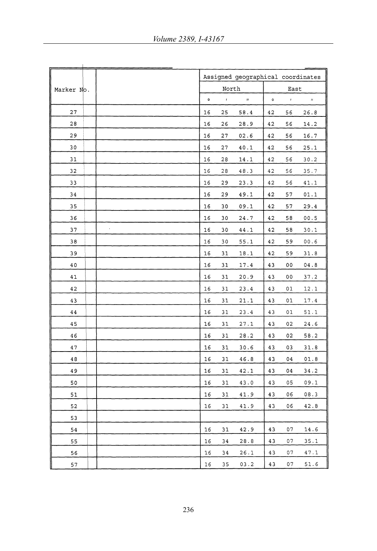|            |            |         |               | Assigned geographical coordinates |         |                    |                  |
|------------|------------|---------|---------------|-----------------------------------|---------|--------------------|------------------|
| Marker No. |            |         | North         |                                   |         | East               |                  |
|            |            | $\circ$ | $\pmb{\cdot}$ | $\boldsymbol{H}$                  | $\circ$ | $\pmb{\mathsf{r}}$ | $\boldsymbol{H}$ |
| 27         |            | 16      | 25            | 58.4                              | 42      | 56                 | 26.8             |
| 28         |            | 16      | 26            | 28.9                              | 42      | 56                 | 14.2             |
| 29         |            | 16      | 27            | 02.6                              | 42      | 56                 | 16.7             |
| 30         |            | 16      | 27            | 40.1                              | 42      | 56                 | 25.1             |
| 31         |            | 16      | 28            | 14.1                              | 42      | 56                 | 30.2             |
| 32         |            | 16      | 28            | 48.3                              | 42      | 56                 | 35.7             |
| 33         |            | 16      | 29            | 23.3                              | 42      | 56                 | 41.1             |
| 34         |            | 16      | 29            | 49.1                              | 42      | 57                 | 01.1             |
| 35         |            | 16      | 30            | 09.1                              | 42      | 57                 | 29.4             |
| 36         |            | 16      | 30            | 24.7                              | 42      | 58                 | 00.5             |
| 37         | $\epsilon$ | $16$    | 30            | 44.1                              | 42      | 58                 | 30.1             |
| 38         |            | 16      | 30            | 55.1                              | 42      | 59                 | 00.6             |
| 39         |            | 16      | 31            | 18.1                              | 42      | 59                 | 31.8             |
| 40         |            | 16      | 31            | 17.4                              | 43      | 00                 | 04.8             |
| 41         |            | 16      | 31            | 20.9                              | 43      | 00                 | 37.2             |
| 42         |            | 16      | 31            | 23.4                              | 43      | 01                 | 12.1             |
| 43         |            | 16      | 31            | 21.1                              | 43      | 01                 | 17.4             |
| 44         |            | 16      | 31            | 23.4                              | 43      | 01                 | 51.1             |
| 45         |            | 16      | 31            | 27.1                              | 43      | 02                 | 24.6             |
| 46         |            | 16      | 31            | 28.2                              | 43      | 02                 | 58.2             |
| 47         |            | 16      | 31            | 30.6                              | 43      | 03                 | 31.8             |
| 48         |            | 16      | 31            | 46.8                              | 43      | 04                 | 01.8             |
| 49         |            | 16      | 31            | 42.1                              | 43      | 04                 | 34.2             |
| 50         |            | 16      | 31            | 43.0                              | 43      | 05                 | 09.1             |
| 51         |            | 16      | 31            | 41.9                              | 43      | 06                 | 08.3             |
| 52         |            | 16      | 31            | 41.9                              | 43      | 06                 | 42.8             |
| 53         |            |         |               |                                   |         |                    |                  |
| 54         |            | 16      | 31            | 42.9                              | 43      | 07                 | 14.6             |
| 55         |            | 16      | 34            | 28.8                              | 43      | 07                 | 35.1             |
| 56         |            | 16      | 34            | 26.1                              | 43      | 07                 | 47.1             |
| 57         |            | 16      | 35            | 03.2                              | 43      | 07                 | 51.6             |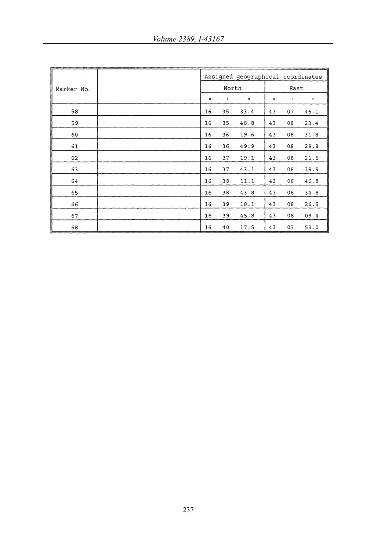|            |    |              | Assigned geographical coordinates |         |              |                      |
|------------|----|--------------|-----------------------------------|---------|--------------|----------------------|
| Marker No. |    | North        |                                   | East    |              |                      |
|            | ۰  | $\mathbf{r}$ | $\boldsymbol{\mathsf{H}}$         | $\circ$ | $\mathbf{r}$ | $\pmb{\mathfrak{u}}$ |
| 58         | 16 | 35           | 33.4                              | 43      | 07           | 46.1                 |
| 59         | 16 | 35           | 48.8                              | 43      | 08           | 23.4                 |
| 60         | 16 | 36           | 19.6                              | 43      | 08           | 31.8                 |
| 61         | 16 | 36           | 49.9                              | 43      | 08           | 29.8                 |
| 62         | 16 | 37           | 19.1                              | 43      | 08           | 21.5                 |
| 63         | 16 | 37           | 43.1                              | 43      | 08           | 39.9                 |
| 64         | 16 | 38           | 11.1                              | 43      | 08           | 46.8                 |
| 65         | 16 | 38           | 43.8                              | 43      | 08           | 34.8                 |
| 66         | 16 | 39           | 18.1                              | 43      | 08           | 26.9                 |
| 67         | 16 | 39           | 45.8                              | 43      | 08           | 09.4                 |
| 68         | 16 | 40           | 17.5                              | 43      | 07           | 53.0                 |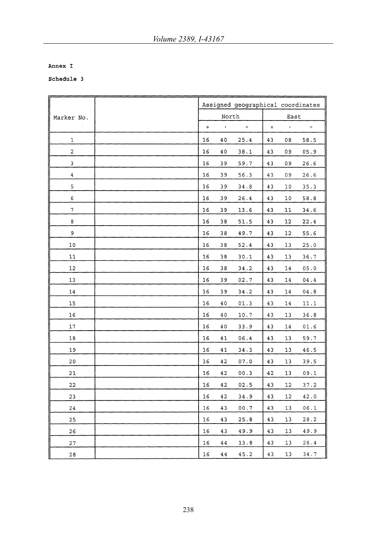#### Annex I

|                         |    |         |               | Assigned geographical coordinates |         |                  |                  |
|-------------------------|----|---------|---------------|-----------------------------------|---------|------------------|------------------|
| Marker No.              |    |         | North         |                                   |         | East             |                  |
|                         |    | $\circ$ | $\mathcal{A}$ | $\boldsymbol{n}$                  | $\circ$ | $\boldsymbol{I}$ | $\boldsymbol{H}$ |
| 1                       |    | 16      | 40            | 25.4                              | 43      | 08               | 58.5             |
| $\overline{\mathbf{c}}$ |    | 16      | 40            | 38.1                              | 43      | 09               | 05.9             |
| 3                       |    | 16      | 39            | 59.7                              | 43      | 09               | 26.6             |
| 4                       |    | 16      | 39            | 56.3                              | 43      | 09               | 26.6             |
| 5                       |    | 16      | 39            | 34.8                              | 43      | 10               | 35.3             |
| 6                       |    | 16      | 39            | 26.4                              | 43      | 10               | 58.8             |
| $\boldsymbol{7}$        |    | 16      | 39            | 13.6                              | 43      | 11               | 34.6             |
| 8                       |    | 16      | 38            | 51.5                              | 43      | 12               | 22.4             |
| 9                       | ¥. | 16      | 38            | 49.7                              | 43      | 12               | 55.6             |
| 10                      |    | 16      | 38            | 52.4                              | 43      | 13               | 25.0             |
| 11                      |    | 16      | 38            | 30.1                              | 43      | 13               | 36.7             |
| 12                      |    | 16      | 38            | 34.2                              | 43      | 14               | 05.0             |
| 13                      |    | 16      | 39            | 02.7                              | 43      | 14               | 04.4             |
| 14                      |    | 16      | 39            | 34.2                              | 43      | 14               | 04.8             |
| 15                      |    | 16      | 40            | 01.3                              | 43      | 14               | 11.1             |
| 16                      |    | 16      | 40            | 10.7                              | 43      | 13               | 36.8             |
| 17                      |    | 16      | 40            | 33.9                              | 43      | 14               | 01.6             |
| 18                      |    | 16      | 41            | 06.4                              | 43      | 13               | 59.7             |
| 19                      |    | 16      | 41            | 34.3                              | 43      | 13               | 46.5             |
| 20                      |    | 16      | 42            | 07.0                              | 43      | 13               | 39.5             |
| 21                      |    | 16      | 42            | 00.3                              | 42      | 13               | 09.1             |
| 22                      |    | 16      | 42            | 02.5                              | 43      | 12               | 37.2             |
| 23                      |    | 16      | 42            | 34.9                              | 43      | 12               | 42.0             |
| 24                      |    | 16      | 43            | 00.7                              | 43      | 13               | 06.1             |
| 25                      |    | 16      | 43            | 25.8                              | 43      | 13               | 28.2             |
| 26                      |    | 16      | 43            | 49.9                              | 43      | 13               | 49.9             |
| 27                      |    | 16      | 44            | 13.8                              | 43      | 13               | 26.4             |
| 28                      |    | 16      | 44            | 45.2                              | 43      | 13               | 34.7             |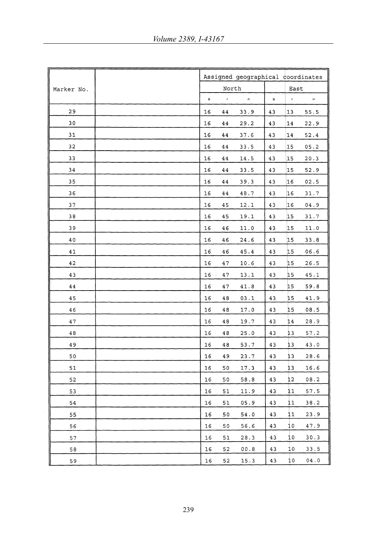|            |         |               | Assigned geographical coordinates |           |              |                  |
|------------|---------|---------------|-----------------------------------|-----------|--------------|------------------|
| Marker No. |         | North         |                                   |           | East         |                  |
|            | $\circ$ | $\mathcal{I}$ | $\boldsymbol{H}$                  | $\bullet$ | $\mathbf{r}$ | $\boldsymbol{H}$ |
| 29         | 16      | 44            | 33.9                              | 43        | 13           | 55.5             |
| 30         | 16      | 44            | 29.2                              | 43        | 14           | 22.9             |
| 31         | 16      | 44            | 37.6                              | 43        | 14           | $52\,.4$         |
| 32         | 16      | 44            | 33.5                              | 43        | 15           | 05.2             |
| 33         | 16      | 44            | 14.5                              | 43        | 15           | 20.3             |
| 34         | 16      | 44            | 33.5                              | 43        | 15           | 52.9             |
| 35         | 16      | 44            | 39.3                              | 43        | 16           | 02.5             |
| 36         | 16      | 44            | 48.7                              | 43        | 16           | 31.7             |
| 37         | 16      | 45            | 12.1                              | 43        | 16           | 04.9             |
| 38         | 16      | 45            | 19.1                              | 43        | 15           | 31.7             |
| 39         | 16      | 46            | 11.0                              | 43        | 15           | 11.0             |
| 40         | 16      | 46            | 24.6                              | 43        | 15           | 33.8             |
| 41         | 16      | 46            | 45.4                              | 43        | 15           | 06.6             |
| 42         | 16      | 47            | 10.6                              | 43        | 15           | 26.5             |
| 43         | 16      | 47            | 13.1                              | 43        | 15           | 45.1             |
| 44         | 16      | 47            | 41.8                              | 43        | 15           | 59.8             |
| 45         | 16      | 48            | 03.1                              | 43        | 15           | 41.9             |
| 46         | 16      | 48            | 17.0                              | 43        | 15           | 08.5             |
| 47         | 16      | 48            | 19.7                              | 43        | 14           | 28.9             |
| 48         | 16      | 48            | 25.0                              | 43        | 13           | 57.2             |
| 49         | 16      | 48            | 53.7                              | 43        | 13           | 43.0             |
| 50         | 16      | 49            | 23.7                              | 43        | 13           | 28.6             |
| 51         | 16      | 50            | 17.3                              | 43        | 13           | 16.6             |
| 52         | 16      | 50            | 58.8                              | 43        | 12           | 08.2             |
| 53         | 16      | 51            | 11.9                              | 43        | 11           | 57.5             |
| 54         | 16      | 51            | 05.9                              | 43        | 11           | 38.2             |
| 55         | 16      | 50            | 54.0                              | 43        | 11           | 23.9             |
| 56         | 16      | 50            | 56.6                              | 43        | 10           | 47.9             |
| 57         | 16      | 51            | 28.3                              | 43        | 10           | 30.3             |
| 58         | 16      | 52            | 00.8                              | 43        | 10           | 33.5             |
| 59         | 16      | 52            | 15.3                              | 43        | 10           | 04.0             |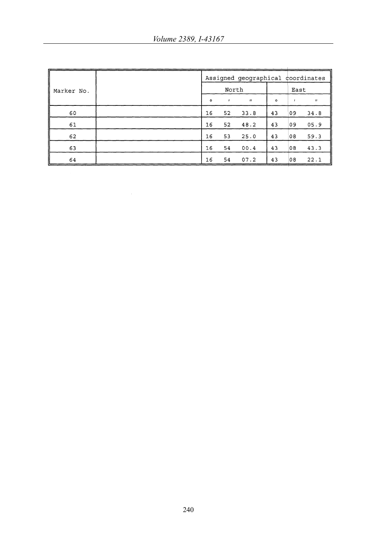|            |         |              | Assigned geographical coordinates |         |      |                           |
|------------|---------|--------------|-----------------------------------|---------|------|---------------------------|
| Marker No. |         | North        |                                   |         | East |                           |
|            | $\circ$ | $\mathbf{r}$ | $\boldsymbol{H}$                  | $\circ$ |      | $\boldsymbol{\mathsf{H}}$ |
| 60         | 16      | 52           | 33.8                              | 43      | 09   | 34.8                      |
| 61         | 16      | 52           | 48.2                              | 43      | 09   | 05.9                      |
| 62         | 16      | 53           | 25.0                              | 43      | 08   | 59.3                      |
| 63         | 16      | 54           | 00.4                              | 43      | 08   | 43.3                      |
| 64         | 16      | 54           | 07.2                              | 43      | 08   | 22.1                      |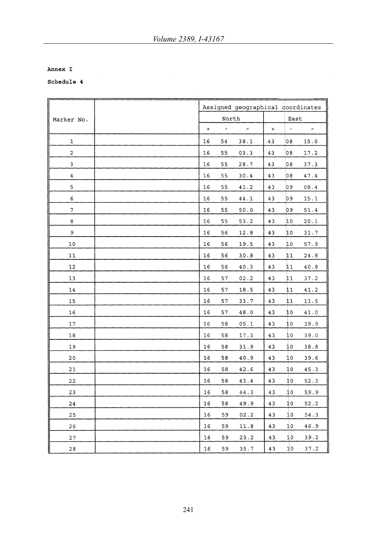## Annex I

|                         |           |            | Assigned geographical coordinates |         |            |              |
|-------------------------|-----------|------------|-----------------------------------|---------|------------|--------------|
| Marker No.              |           | North      |                                   |         | East       |              |
|                         | $\bullet$ | $\epsilon$ | $\boldsymbol{u}$                  | $\circ$ | $\epsilon$ | $\mathbf{H}$ |
| 1                       | 16        | 54         | 38.1                              | 43      | 08         | 15.0         |
| $\overline{\mathbf{c}}$ | 16        | 55         | 03.3                              | 43      | 08         | 17.2         |
| 3                       | 16        | 55         | 28.7                              | 43      | 08         | 37.3         |
| 4                       | 16        | 55         | 30.4                              | 43      | 08         | 47.4         |
| 5                       | 16        | 55         | 41.2                              | 43      | 09         | 08.4         |
| 6                       | 16        | 55         | 44.1                              | 43      | 09         | 15.1         |
| 7                       | 16        | 55         | 50.0                              | 43      | 09         | 51.4         |
| 8                       | 16        | 55         | 53.2                              | 43      | 10         | 20.1         |
| 9                       | 16        | 56         | 12.8                              | 43      | 10         | 31.7         |
| 10                      | 16        | 56         | 19.5                              | 43      | 10         | 57.9         |
| 11                      | 16        | 56         | 30.8                              | 43      | 11         | 24.8         |
| 12                      | 16        | 56         | 40.3                              | 43      | 11         | $40.8\,$     |
| 13                      | 16        | 57         | 02.2                              | 43      | 11         | 37.2         |
| 14                      | 16        | 57         | 18.5                              | 43      | 11         | 41.2         |
| 15                      | 16        | 57         | 33.7                              | 43      | 11         | 11.5         |
| 16                      | 16        | 57         | $4\,8$ . $0$                      | 43      | 10         | 41.0         |
| 17                      | 16        | 58         | 05.1                              | 43      | 10         | 39.9         |
| 18                      | 16        | 58         | 17.3                              | 43      | 10         | 39.0         |
| 19                      | 16        | 58         | 31.9                              | 43      | 10         | 38.8         |
| 20                      | 16        | 58         | 40.9                              | 43      | 10         | 39.6         |
| 21                      | 16        | 58         | 42.6                              | 43      | 10         | 45.3         |
| 22                      | 16        | 58         | 43.4                              | 43      | 10         | 52.3         |
| 23                      | 16        | 58         | 44.3                              | 43      | 10         | 59.9         |
| 24                      | 16        | 58         | 49.9                              | 43      | 10         | 52.2         |
| 25                      | 16        | 59         | 02.2                              | 43      | 10         | 54.3         |
| 26                      | 16        | 59         | 11.8                              | 43      | 10         | 46.9         |
| 27                      | 16        | 59         | 23.2                              | 43      | 10         | 39.2         |
| II<br>28                | $16$      | 59         | 35.7                              | 43      | 10         | 37.2         |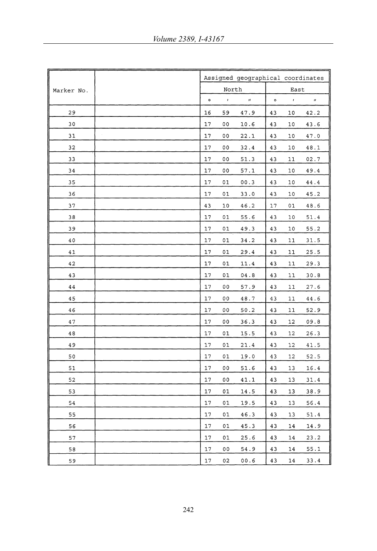|            |           |              | Assigned geographical coordinates |         |               |              |
|------------|-----------|--------------|-----------------------------------|---------|---------------|--------------|
| Marker No. |           | North        |                                   |         | East          |              |
|            | $\bullet$ | $\mathbf{r}$ | $\boldsymbol{\bar{H}}$            | $\circ$ | $\pmb{\cdot}$ | $\bar{H}$    |
| 29         | 16        | 59           | 47.9                              | 43      | 10            | 42.2         |
| 30         | 17        | 00           | 10.6                              | 43      | 10            | 43.6         |
| 31         | 17        | 00           | 22.1                              | 43      | 10            | 47.0         |
| 32         | 17        | 00           | 32.4                              | 43      | 10            | $4\,8$ . $1$ |
| 33         | 17        | 00           | 51.3                              | 43      | $1\,1$        | 02.7         |
| 34         | 17        | 00           | 57.1                              | 43      | 10            | 49.4         |
| 35         | 17        | 01           | 00.3                              | 43      | 10            | 44.4         |
| 36         | 17        | 01           | 33.0                              | 43      | 10            | 45.2         |
| 37         | 43        | 10           | 46.2                              | 17      | 01            | 48.6         |
| 38         | 17        | 01           | 55.6                              | 43      | 10            | 51.4         |
| 39         | 17        | 01           | 49.3                              | 43      | 10            | 55.2         |
| 40         | $17$      | 01           | 34.2                              | 43      | 11            | 31.5         |
| 41         | 17        | 01           | 29.4                              | 43      | 11            | 25.5         |
| 42         | 17        | 01           | 11.4                              | 43      | 11            | 29.3         |
| 43         | 17        | 01           | 04.8                              | 43      | $1\,1$        | 30.8         |
| 44         | 17        | 00           | 57.9                              | 43      | 11            | 27.6         |
| 45         | 17        | 00           | 48.7                              | 43      | 11            | 44.6         |
| 46         | $17$      | 00           | 50.2                              | 43      | 11            | 52.9         |
| 47         | 17        | 00           | 36.3                              | 43      | 12            | 09.8         |
| 48         | 17        | 01           | 15.5                              | 43      | 12            | 26.3         |
| 49         | 17        | 01           | 21.4                              | 43      | 12            | 41.5         |
| 50         | 17        | 01           | 19.0                              | 43      | 12            | 52.5         |
| 51         | 17        | 00           | 51.6                              | 43      | 13            | 16.4         |
| 52         | 17        | 00           | 41.1                              | 43      | 13            | 31.4         |
| 53         | 17        | 01           | 14.5                              | 43      | 13            | 38.9         |
| 54         | 17        | 01           | 19.5                              | 43      | 13            | 56.4         |
| 55         | 17        | 01           | 46.3                              | 43      | 13            | 51.4         |
| 56         | 17        | 01           | 45.3                              | 43      | 14            | 14.9         |
| 57         | 17        | 01           | 25.6                              | 43      | 14            | 23.2         |
| 58         | 17        | 00           | 54.9                              | 43      | 14            | 55.1         |
| 59         | 17        | 02           | 00.6                              | 43      | 14            | 33.4         |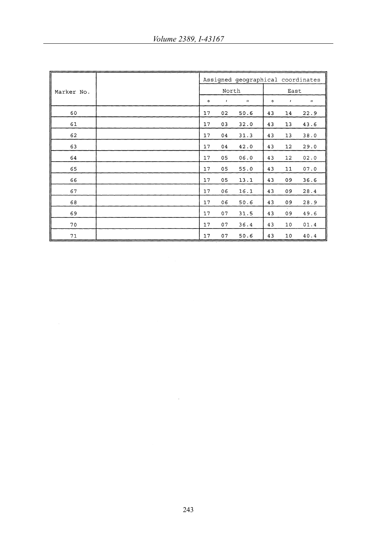|            |  | Assigned geographical coordinates |           |                           |           |               |              |  |
|------------|--|-----------------------------------|-----------|---------------------------|-----------|---------------|--------------|--|
| Marker No. |  |                                   | North     |                           |           | East          |              |  |
|            |  | $\bullet$                         | $\pmb{r}$ | $\boldsymbol{\mathsf{H}}$ | $\bullet$ | $\pmb{\cdot}$ | $\mathbf{H}$ |  |
| 60         |  | 17                                | 02        | 50.6                      | 43        | 14            | 22.9         |  |
| 61         |  | 17                                | 03        | 32.0                      | 43        | 13            | 43.6         |  |
| 62         |  | 17                                | 04        | 31.3                      | 43        | 13            | 38.0         |  |
| 63         |  | 17                                | 04        | 42.0                      | 43        | 12            | 29.0         |  |
| 64         |  | 17                                | 05        | 06.0                      | 43        | 12            | 02.0         |  |
| 65         |  | 17                                | 05        | 55.0                      | 43        | 11            | 07.0         |  |
| 66         |  | 17                                | 05        | 13.1                      | 43        | 09            | 36.6         |  |
| 67         |  | 17                                | 06        | 16.1                      | 43        | 09            | 28.4         |  |
| 68         |  | 17                                | 06        | 50.6                      | 43        | 09            | 28.9         |  |
| 69         |  | 17                                | 07        | 31.5                      | 43        | 09            | 49.6         |  |
| 70         |  | 17                                | 07        | 36.4                      | 43        | 10            | 01.4         |  |
| $7\,\rm 1$ |  | 17                                | 07        | 50.6                      | 43        | 10            | 40.4         |  |

 $\sim 10^{-1}$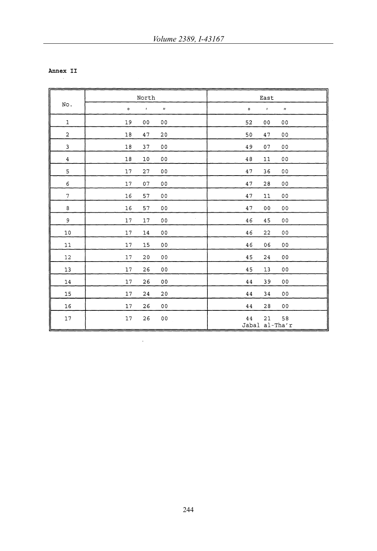Annex II

| No.                     | North   |                |                          | East    |                                  |  |  |
|-------------------------|---------|----------------|--------------------------|---------|----------------------------------|--|--|
|                         | $\circ$ | $\mathbf{r}$   | $\boldsymbol{H}$         | $\circ$ | $\mathbf{r}$<br>$\boldsymbol{H}$ |  |  |
| $\mathbf 1$             | 19      | 0 <sub>0</sub> | 0 <sub>0</sub>           | 52      | 00<br>0 <sub>0</sub>             |  |  |
| $\mathbf 2$             | 18      | 47             | 20                       | 50      | 47<br>0 <sub>0</sub>             |  |  |
| 3                       | 18      | 37             | 00                       | 49      | 07<br>00                         |  |  |
| $\overline{\mathbf{4}}$ | 18      | 10             | 00                       | 48      | 00<br>11                         |  |  |
| 5                       | 17      | 27             | 00                       | 47      | 36<br>00                         |  |  |
| 6                       | 17      | 07             | 00                       | 47      | 28<br>00                         |  |  |
| $\overline{7}$          | 16      | 57             | 00                       | 47      | 11<br>00                         |  |  |
| 8                       | 16      | 57             | 0 <sub>0</sub>           | 47      | 0 <sub>0</sub><br>0 <sub>0</sub> |  |  |
| 9                       | 17      | 17             | $\sim$<br>0 <sub>0</sub> | 46      | 45<br>00                         |  |  |
| 10                      | 17      | 14             | 0 <sub>0</sub>           | 46      | 22<br>0 <sub>0</sub>             |  |  |
| 11                      | 17      | 15             | 00                       | 46      | 06<br>00                         |  |  |
| 12                      | 17      | 20             | 0 <sub>0</sub>           | 45      | 00<br>24                         |  |  |
| 13                      | 17      | 26             | 0 <sub>0</sub>           | 45      | 13<br>0 <sub>0</sub>             |  |  |
| 14                      | 17      | 26             | 00                       | 44      | 39<br>0 <sub>0</sub>             |  |  |
| 15                      | 17      | 24             | 20                       | 44      | 00<br>34                         |  |  |
| 16                      | 17      | 26             | 00                       | 44      | 28<br>00                         |  |  |
| 17                      | $17$    | 26             | 00                       | 44      | 58<br>21<br>Jabal al-Tha'r       |  |  |

 $\ddot{\phantom{a}}$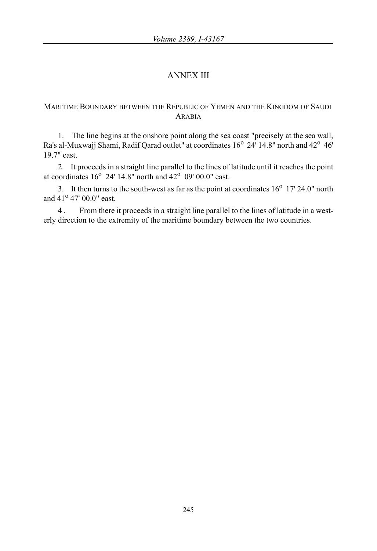# ANNEX III

## MARITIME BOUNDARY BETWEEN THE REPUBLIC OF YEMEN AND THE KINGDOM OF SAUDI ARABIA

1. The line begins at the onshore point along the sea coast "precisely at the sea wall, Ra's al-Muxwajj Shami, Radif Qarad outlet" at coordinates 16<sup>o</sup> 24' 14.8" north and 42<sup>o</sup> 46<sup>'</sup> 19.7" east.

2. It proceeds in a straight line parallel to the lines of latitude until it reaches the point at coordinates  $16^{\circ}$  24' 14.8" north and  $42^{\circ}$  09' 00.0" east.

3. It then turns to the south-west as far as the point at coordinates  $16^{\circ}$  17' 24.0" north and  $41^{\circ}$  47' 00.0" east.

4 . From there it proceeds in a straight line parallel to the lines of latitude in a westerly direction to the extremity of the maritime boundary between the two countries.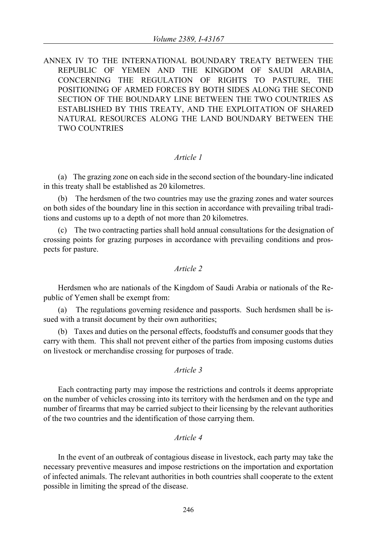ANNEX IV TO THE INTERNATIONAL BOUNDARY TREATY BETWEEN THE REPUBLIC OF YEMEN AND THE KINGDOM OF SAUDI ARABIA, CONCERNING THE REGULATION OF RIGHTS TO PASTURE, THE POSITIONING OF ARMED FORCES BY BOTH SIDES ALONG THE SECOND SECTION OF THE BOUNDARY LINE BETWEEN THE TWO COUNTRIES AS ESTABLISHED BY THIS TREATY, AND THE EXPLOITATION OF SHARED NATURAL RESOURCES ALONG THE LAND BOUNDARY BETWEEN THE TWO COUNTRIES

## *Article 1*

(a) The grazing zone on each side in the second section of the boundary-line indicated in this treaty shall be established as 20 kilometres.

(b) The herdsmen of the two countries may use the grazing zones and water sources on both sides of the boundary line in this section in accordance with prevailing tribal traditions and customs up to a depth of not more than 20 kilometres.

(c) The two contracting parties shall hold annual consultations for the designation of crossing points for grazing purposes in accordance with prevailing conditions and prospects for pasture.

## *Article 2*

Herdsmen who are nationals of the Kingdom of Saudi Arabia or nationals of the Republic of Yemen shall be exempt from:

(a) The regulations governing residence and passports. Such herdsmen shall be issued with a transit document by their own authorities;

(b) Taxes and duties on the personal effects, foodstuffs and consumer goods that they carry with them. This shall not prevent either of the parties from imposing customs duties on livestock or merchandise crossing for purposes of trade.

## *Article 3*

Each contracting party may impose the restrictions and controls it deems appropriate on the number of vehicles crossing into its territory with the herdsmen and on the type and number of firearms that may be carried subject to their licensing by the relevant authorities of the two countries and the identification of those carrying them.

## *Article 4*

In the event of an outbreak of contagious disease in livestock, each party may take the necessary preventive measures and impose restrictions on the importation and exportation of infected animals. The relevant authorities in both countries shall cooperate to the extent possible in limiting the spread of the disease.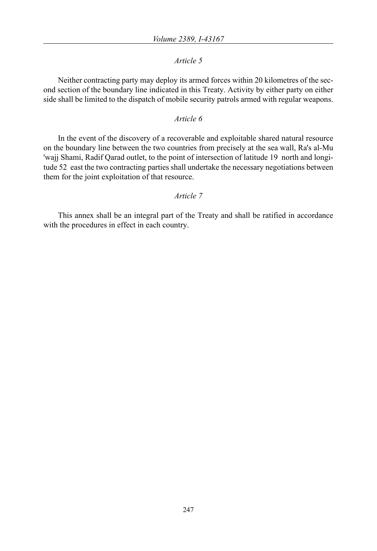## *Article 5*

Neither contracting party may deploy its armed forces within 20 kilometres of the second section of the boundary line indicated in this Treaty. Activity by either party on either side shall be limited to the dispatch of mobile security patrols armed with regular weapons.

## *Article 6*

In the event of the discovery of a recoverable and exploitable shared natural resource on the boundary line between the two countries from precisely at the sea wall, Ra's al-Mu 'wajj Shami, Radif Qarad outlet, to the point of intersection of latitude 19 north and longitude 52 east the two contracting parties shall undertake the necessary negotiations between them for the joint exploitation of that resource.

## *Article 7*

This annex shall be an integral part of the Treaty and shall be ratified in accordance with the procedures in effect in each country.